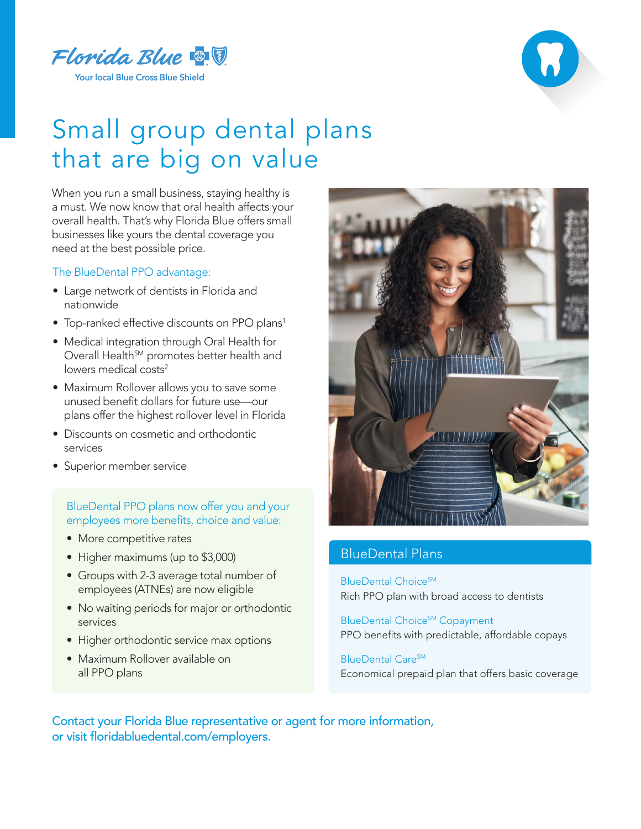



## Small group dental plans that are big on value

When you run a small business, staying healthy is a must. We now know that oral health affects your overall health. That's why Florida Blue offers small businesses like yours the dental coverage you need at the best possible price.

## The BlueDental PPO advantage:

- Large network of dentists in Florida and nationwide
- Top-ranked effective discounts on PPO plans<sup>1</sup>
- Medical integration through Oral Health for Overall Health<sup>SM</sup> promotes better health and lowers medical costs<sup>2</sup>
- Maximum Rollover allows you to save some unused benefit dollars for future use—our plans offer the highest rollover level in Florida
- Discounts on cosmetic and orthodontic services
- Superior member service

## BlueDental PPO plans now offer you and your employees more benefits, choice and value:

- More competitive rates
- Higher maximums (up to \$3,000)
- Groups with 2-3 average total number of employees (ATNEs) are now eligible
- No waiting periods for major or orthodontic services
- Higher orthodontic service max options
- Maximum Rollover available on all PPO plans



## BlueDental Plans

BlueDental Choice<sup>SM</sup> Rich PPO plan with broad access to dentists

BlueDental Choice<sup>SM</sup> Copayment PPO benefits with predictable, affordable copays

BlueDental Care<sup>SM</sup> Economical prepaid plan that offers basic coverage

Contact your Florida Blue representative or agent for more information, or visit floridabluedental.com/employers.